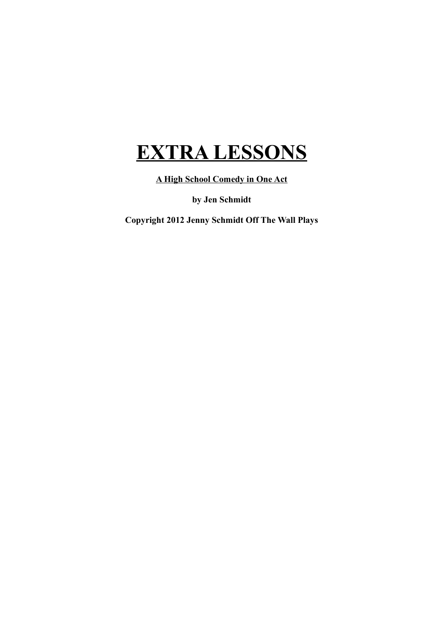## **EXTRA LESSONS**

**A High School Comedy in One Act**

**by Jen Schmidt**

**Copyright 2012 Jenny Schmidt Off The Wall Plays**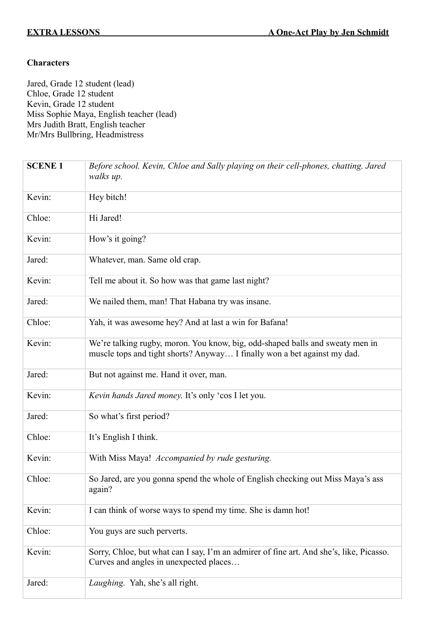## **Characters**

Jared, Grade 12 student (lead) Chloe, Grade 12 student Kevin, Grade 12 student Miss Sophie Maya, English teacher (lead) Mrs Judith Bratt, English teacher Mr/Mrs Bullbring, Headmistress

| <b>SCENE 1</b> | Before school. Kevin, Chloe and Sally playing on their cell-phones, chatting. Jared<br>walks up.                                                          |
|----------------|-----------------------------------------------------------------------------------------------------------------------------------------------------------|
| Kevin:         | Hey bitch!                                                                                                                                                |
| Chloe:         | Hi Jared!                                                                                                                                                 |
| Kevin:         | How's it going?                                                                                                                                           |
| Jared:         | Whatever, man. Same old crap.                                                                                                                             |
| Kevin:         | Tell me about it. So how was that game last night?                                                                                                        |
| Jared:         | We nailed them, man! That Habana try was insane.                                                                                                          |
| Chloe:         | Yah, it was awesome hey? And at last a win for Bafana!                                                                                                    |
| Kevin:         | We're talking rugby, moron. You know, big, odd-shaped balls and sweaty men in<br>muscle tops and tight shorts? Anyway I finally won a bet against my dad. |
| Jared:         | But not against me. Hand it over, man.                                                                                                                    |
| Kevin:         | Kevin hands Jared money. It's only 'cos I let you.                                                                                                        |
| Jared:         | So what's first period?                                                                                                                                   |
| Chloe:         | It's English I think.                                                                                                                                     |
| Kevin:         | With Miss Maya! Accompanied by rude gesturing.                                                                                                            |
| Chloe:         | So Jared, are you gonna spend the whole of English checking out Miss Maya's ass<br>again?                                                                 |
| Kevin:         | I can think of worse ways to spend my time. She is damn hot!                                                                                              |
| Chloe:         | You guys are such perverts.                                                                                                                               |
| Kevin:         | Sorry, Chloe, but what can I say, I'm an admirer of fine art. And she's, like, Picasso.<br>Curves and angles in unexpected places                         |
| Jared:         | Laughing. Yah, she's all right.                                                                                                                           |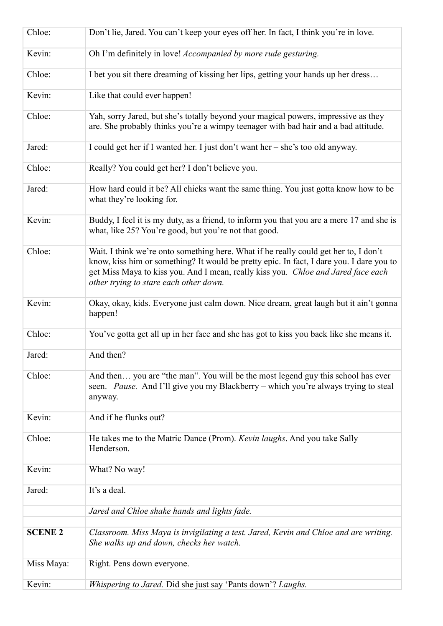| Chloe:         | Don't lie, Jared. You can't keep your eyes off her. In fact, I think you're in love.                                                                                                                                                                                                                            |
|----------------|-----------------------------------------------------------------------------------------------------------------------------------------------------------------------------------------------------------------------------------------------------------------------------------------------------------------|
| Kevin:         | Oh I'm definitely in love! Accompanied by more rude gesturing.                                                                                                                                                                                                                                                  |
| Chloe:         | I bet you sit there dreaming of kissing her lips, getting your hands up her dress                                                                                                                                                                                                                               |
| Kevin:         | Like that could ever happen!                                                                                                                                                                                                                                                                                    |
| Chloe:         | Yah, sorry Jared, but she's totally beyond your magical powers, impressive as they<br>are. She probably thinks you're a wimpy teenager with bad hair and a bad attitude.                                                                                                                                        |
| Jared:         | I could get her if I wanted her. I just don't want her – she's too old anyway.                                                                                                                                                                                                                                  |
| Chloe:         | Really? You could get her? I don't believe you.                                                                                                                                                                                                                                                                 |
| Jared:         | How hard could it be? All chicks want the same thing. You just gotta know how to be<br>what they're looking for.                                                                                                                                                                                                |
| Kevin:         | Buddy, I feel it is my duty, as a friend, to inform you that you are a mere 17 and she is<br>what, like 25? You're good, but you're not that good.                                                                                                                                                              |
| Chloe:         | Wait. I think we're onto something here. What if he really could get her to, I don't<br>know, kiss him or something? It would be pretty epic. In fact, I dare you. I dare you to<br>get Miss Maya to kiss you. And I mean, really kiss you. Chloe and Jared face each<br>other trying to stare each other down. |
| Kevin:         | Okay, okay, kids. Everyone just calm down. Nice dream, great laugh but it ain't gonna<br>happen!                                                                                                                                                                                                                |
| Chloe:         | You've gotta get all up in her face and she has got to kiss you back like she means it.                                                                                                                                                                                                                         |
| Jared:         | And then?                                                                                                                                                                                                                                                                                                       |
| Chloe:         | And then you are "the man". You will be the most legend guy this school has ever<br>seen. Pause. And I'll give you my Blackberry – which you're always trying to steal<br>anyway.                                                                                                                               |
| Kevin:         | And if he flunks out?                                                                                                                                                                                                                                                                                           |
| Chloe:         | He takes me to the Matric Dance (Prom). Kevin laughs. And you take Sally<br>Henderson.                                                                                                                                                                                                                          |
| Kevin:         | What? No way!                                                                                                                                                                                                                                                                                                   |
| Jared:         | It's a deal.                                                                                                                                                                                                                                                                                                    |
|                | Jared and Chloe shake hands and lights fade.                                                                                                                                                                                                                                                                    |
| <b>SCENE 2</b> | Classroom. Miss Maya is invigilating a test. Jared, Kevin and Chloe and are writing.<br>She walks up and down, checks her watch.                                                                                                                                                                                |
| Miss Maya:     | Right. Pens down everyone.                                                                                                                                                                                                                                                                                      |
| Kevin:         | Whispering to Jared. Did she just say 'Pants down'? Laughs.                                                                                                                                                                                                                                                     |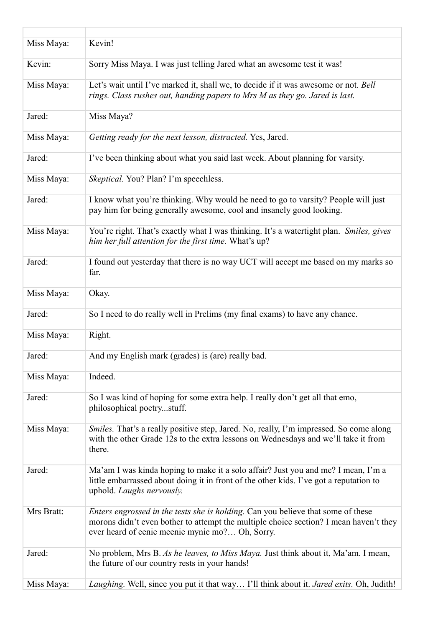| Miss Maya: | Kevin!                                                                                                                                                                                                                       |
|------------|------------------------------------------------------------------------------------------------------------------------------------------------------------------------------------------------------------------------------|
| Kevin:     | Sorry Miss Maya. I was just telling Jared what an awesome test it was!                                                                                                                                                       |
| Miss Maya: | Let's wait until I've marked it, shall we, to decide if it was awesome or not. Bell<br>rings. Class rushes out, handing papers to Mrs M as they go. Jared is last.                                                           |
| Jared:     | Miss Maya?                                                                                                                                                                                                                   |
| Miss Maya: | Getting ready for the next lesson, distracted. Yes, Jared.                                                                                                                                                                   |
| Jared:     | I've been thinking about what you said last week. About planning for varsity.                                                                                                                                                |
| Miss Maya: | Skeptical. You? Plan? I'm speechless.                                                                                                                                                                                        |
| Jared:     | I know what you're thinking. Why would he need to go to varsity? People will just<br>pay him for being generally awesome, cool and insanely good looking.                                                                    |
| Miss Maya: | You're right. That's exactly what I was thinking. It's a watertight plan. Smiles, gives<br>him her full attention for the first time. What's up?                                                                             |
| Jared:     | I found out yesterday that there is no way UCT will accept me based on my marks so<br>far.                                                                                                                                   |
| Miss Maya: | Okay.                                                                                                                                                                                                                        |
| Jared:     | So I need to do really well in Prelims (my final exams) to have any chance.                                                                                                                                                  |
| Miss Maya: | Right.                                                                                                                                                                                                                       |
| Jared:     | And my English mark (grades) is (are) really bad.                                                                                                                                                                            |
| Miss Maya: | Indeed.                                                                                                                                                                                                                      |
| Jared:     | So I was kind of hoping for some extra help. I really don't get all that emo,<br>philosophical poetrystuff.                                                                                                                  |
| Miss Maya: | Smiles. That's a really positive step, Jared. No, really, I'm impressed. So come along<br>with the other Grade 12s to the extra lessons on Wednesdays and we'll take it from<br>there.                                       |
| Jared:     | Ma'am I was kinda hoping to make it a solo affair? Just you and me? I mean, I'm a<br>little embarrassed about doing it in front of the other kids. I've got a reputation to<br>uphold. Laughs nervously.                     |
| Mrs Bratt: | Enters engrossed in the tests she is holding. Can you believe that some of these<br>morons didn't even bother to attempt the multiple choice section? I mean haven't they<br>ever heard of eenie meenie mynie mo? Oh, Sorry. |
| Jared:     | No problem, Mrs B. As he leaves, to Miss Maya. Just think about it, Ma'am. I mean,<br>the future of our country rests in your hands!                                                                                         |
| Miss Maya: | Laughing. Well, since you put it that way I'll think about it. Jared exits. Oh, Judith!                                                                                                                                      |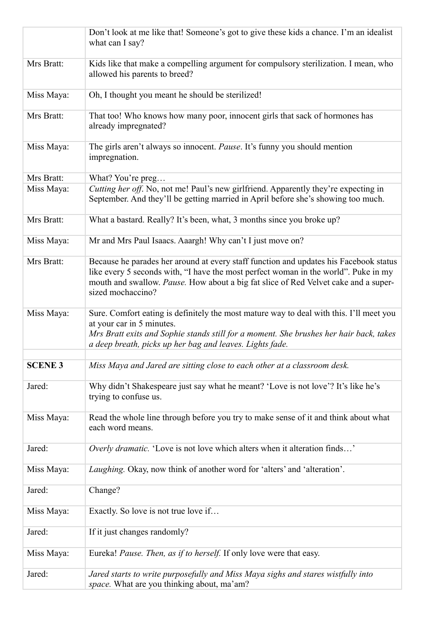|                | Don't look at me like that! Someone's got to give these kids a chance. I'm an idealist<br>what can I say?                                                                                                                                                                                |
|----------------|------------------------------------------------------------------------------------------------------------------------------------------------------------------------------------------------------------------------------------------------------------------------------------------|
| Mrs Bratt:     | Kids like that make a compelling argument for compulsory sterilization. I mean, who<br>allowed his parents to breed?                                                                                                                                                                     |
| Miss Maya:     | Oh, I thought you meant he should be sterilized!                                                                                                                                                                                                                                         |
| Mrs Bratt:     | That too! Who knows how many poor, innocent girls that sack of hormones has<br>already impregnated?                                                                                                                                                                                      |
| Miss Maya:     | The girls aren't always so innocent. Pause. It's funny you should mention<br>impregnation.                                                                                                                                                                                               |
| Mrs Bratt:     | What? You're preg                                                                                                                                                                                                                                                                        |
| Miss Maya:     | Cutting her off. No, not me! Paul's new girlfriend. Apparently they're expecting in<br>September. And they'll be getting married in April before she's showing too much.                                                                                                                 |
| Mrs Bratt:     | What a bastard. Really? It's been, what, 3 months since you broke up?                                                                                                                                                                                                                    |
| Miss Maya:     | Mr and Mrs Paul Isaacs. Aaargh! Why can't I just move on?                                                                                                                                                                                                                                |
| Mrs Bratt:     | Because he parades her around at every staff function and updates his Facebook status<br>like every 5 seconds with, "I have the most perfect woman in the world". Puke in my<br>mouth and swallow. Pause. How about a big fat slice of Red Velvet cake and a super-<br>sized mochaccino? |
| Miss Maya:     | Sure. Comfort eating is definitely the most mature way to deal with this. I'll meet you<br>at your car in 5 minutes.<br>Mrs Bratt exits and Sophie stands still for a moment. She brushes her hair back, takes<br>a deep breath, picks up her bag and leaves. Lights fade.               |
| <b>SCENE 3</b> | Miss Maya and Jared are sitting close to each other at a classroom desk.                                                                                                                                                                                                                 |
| Jared:         | Why didn't Shakespeare just say what he meant? 'Love is not love'? It's like he's<br>trying to confuse us.                                                                                                                                                                               |
| Miss Maya:     | Read the whole line through before you try to make sense of it and think about what<br>each word means.                                                                                                                                                                                  |
| Jared:         | <i>Overly dramatic</i> . 'Love is not love which alters when it alteration finds'                                                                                                                                                                                                        |
| Miss Maya:     | Laughing. Okay, now think of another word for 'alters' and 'alteration'.                                                                                                                                                                                                                 |
| Jared:         | Change?                                                                                                                                                                                                                                                                                  |
| Miss Maya:     | Exactly. So love is not true love if                                                                                                                                                                                                                                                     |
| Jared:         | If it just changes randomly?                                                                                                                                                                                                                                                             |
| Miss Maya:     | Eureka! Pause. Then, as if to herself. If only love were that easy.                                                                                                                                                                                                                      |
| Jared:         | Jared starts to write purposefully and Miss Maya sighs and stares wistfully into<br><i>space</i> . What are you thinking about, ma'am?                                                                                                                                                   |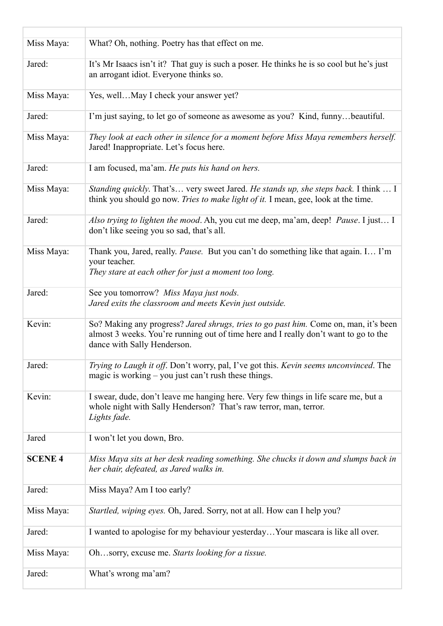| Miss Maya:     | What? Oh, nothing. Poetry has that effect on me.                                                                                                                                                            |
|----------------|-------------------------------------------------------------------------------------------------------------------------------------------------------------------------------------------------------------|
| Jared:         | It's Mr Isaacs isn't it? That guy is such a poser. He thinks he is so cool but he's just<br>an arrogant idiot. Everyone thinks so.                                                                          |
| Miss Maya:     | Yes, wellMay I check your answer yet?                                                                                                                                                                       |
| Jared:         | I'm just saying, to let go of someone as awesome as you? Kind, funnybeautiful.                                                                                                                              |
| Miss Maya:     | They look at each other in silence for a moment before Miss Maya remembers herself.<br>Jared! Inappropriate. Let's focus here.                                                                              |
| Jared:         | I am focused, ma'am. He puts his hand on hers.                                                                                                                                                              |
| Miss Maya:     | <i>Standing quickly.</i> That's very sweet Jared. <i>He stands up, she steps back</i> . I think  I<br>think you should go now. Tries to make light of it. I mean, gee, look at the time.                    |
| Jared:         | Also trying to lighten the mood. Ah, you cut me deep, ma'am, deep! Pause. I just I<br>don't like seeing you so sad, that's all.                                                                             |
| Miss Maya:     | Thank you, Jared, really. Pause. But you can't do something like that again. I I'm<br>your teacher.<br>They stare at each other for just a moment too long.                                                 |
| Jared:         | See you tomorrow? Miss Maya just nods.<br>Jared exits the classroom and meets Kevin just outside.                                                                                                           |
| Kevin:         | So? Making any progress? Jared shrugs, tries to go past him. Come on, man, it's been<br>almost 3 weeks. You're running out of time here and I really don't want to go to the<br>dance with Sally Henderson. |
| Jared:         | Trying to Laugh it off. Don't worry, pal, I've got this. Kevin seems unconvinced. The<br>magic is working $-$ you just can't rush these things.                                                             |
| Kevin:         | I swear, dude, don't leave me hanging here. Very few things in life scare me, but a<br>whole night with Sally Henderson? That's raw terror, man, terror.<br>Lights fade.                                    |
| Jared          | I won't let you down, Bro.                                                                                                                                                                                  |
| <b>SCENE 4</b> | Miss Maya sits at her desk reading something. She chucks it down and slumps back in<br>her chair, defeated, as Jared walks in.                                                                              |
| Jared:         | Miss Maya? Am I too early?                                                                                                                                                                                  |
| Miss Maya:     | Startled, wiping eyes. Oh, Jared. Sorry, not at all. How can I help you?                                                                                                                                    |
| Jared:         | I wanted to apologise for my behaviour yesterday Your mascara is like all over.                                                                                                                             |
| Miss Maya:     | Ohsorry, excuse me. Starts looking for a tissue.                                                                                                                                                            |
| Jared:         | What's wrong ma'am?                                                                                                                                                                                         |